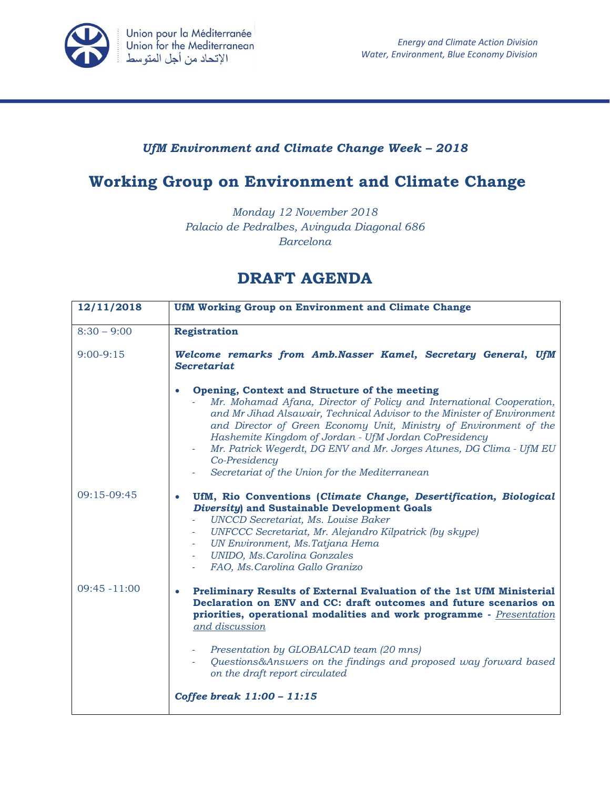

## *UfM Environment and Climate Change Week – 2018*

## **Working Group on Environment and Climate Change**

*Monday 12 November 2018 Palacio de Pedralbes, Avinguda Diagonal 686 Barcelona*

## **DRAFT AGENDA**

| 12/11/2018      | UfM Working Group on Environment and Climate Change                                                                                                                                                                                                                                                                                                                                                                                                                                           |  |
|-----------------|-----------------------------------------------------------------------------------------------------------------------------------------------------------------------------------------------------------------------------------------------------------------------------------------------------------------------------------------------------------------------------------------------------------------------------------------------------------------------------------------------|--|
| $8:30 - 9:00$   | <b>Registration</b>                                                                                                                                                                                                                                                                                                                                                                                                                                                                           |  |
| $9:00-9:15$     | Welcome remarks from Amb.Nasser Kamel, Secretary General, UfM<br><b>Secretariat</b>                                                                                                                                                                                                                                                                                                                                                                                                           |  |
|                 | Opening, Context and Structure of the meeting<br>$\bullet$<br>Mr. Mohamad Afana, Director of Policy and International Cooperation,<br>and Mr Jihad Alsawair, Technical Advisor to the Minister of Environment<br>and Director of Green Economy Unit, Ministry of Environment of the<br>Hashemite Kingdom of Jordan - UfM Jordan CoPresidency<br>Mr. Patrick Wegerdt, DG ENV and Mr. Jorges Atunes, DG Clima - UfM EU<br>A.<br>Co-Presidency<br>Secretariat of the Union for the Mediterranean |  |
| 09:15-09:45     | UfM, Rio Conventions (Climate Change, Desertification, Biological<br><b>Diversity</b> ) and Sustainable Development Goals<br><b>UNCCD</b> Secretariat, Ms. Louise Baker<br>UNFCCC Secretariat, Mr. Alejandro Kilpatrick (by skype)<br>$\overline{\phantom{a}}$<br>UN Environment, Ms. Tatjana Hema<br><b>UNIDO, Ms.Carolina Gonzales</b><br>FAO, Ms. Carolina Gallo Granizo                                                                                                                   |  |
| $09:45 - 11:00$ | Preliminary Results of External Evaluation of the 1st UfM Ministerial<br>Declaration on ENV and CC: draft outcomes and future scenarios on<br>priorities, operational modalities and work programme - Presentation<br>and discussion<br>Presentation by GLOBALCAD team (20 mns)<br>Questions&Answers on the findings and proposed way forward based                                                                                                                                           |  |
|                 | on the draft report circulated<br>Coffee break 11:00 - 11:15                                                                                                                                                                                                                                                                                                                                                                                                                                  |  |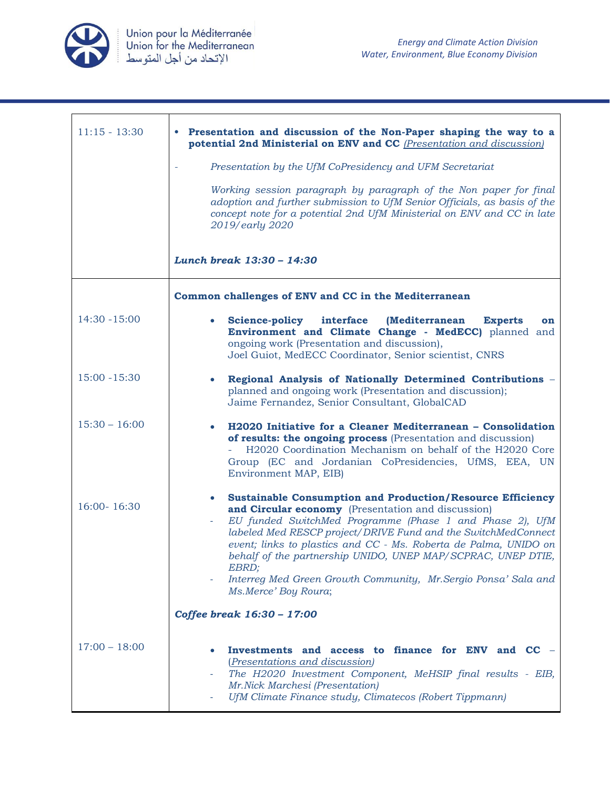

| $11:15 - 13:30$ | • Presentation and discussion of the Non-Paper shaping the way to a<br>potential 2nd Ministerial on ENV and CC (Presentation and discussion)                                                                                                                                                                                                                                                                                                                                                              |  |
|-----------------|-----------------------------------------------------------------------------------------------------------------------------------------------------------------------------------------------------------------------------------------------------------------------------------------------------------------------------------------------------------------------------------------------------------------------------------------------------------------------------------------------------------|--|
|                 | Presentation by the UfM CoPresidency and UFM Secretariat                                                                                                                                                                                                                                                                                                                                                                                                                                                  |  |
|                 | Working session paragraph by paragraph of the Non paper for final<br>adoption and further submission to UfM Senior Officials, as basis of the<br>concept note for a potential 2nd UfM Ministerial on ENV and CC in late<br>2019/early 2020                                                                                                                                                                                                                                                                |  |
|                 | Lunch break 13:30 - 14:30                                                                                                                                                                                                                                                                                                                                                                                                                                                                                 |  |
|                 | Common challenges of ENV and CC in the Mediterranean                                                                                                                                                                                                                                                                                                                                                                                                                                                      |  |
| $14:30 - 15:00$ | <b>Science-policy</b><br>interface<br>(Mediterranean<br><b>Experts</b><br>$\bullet$<br>on<br>Environment and Climate Change - MedECC) planned and<br>ongoing work (Presentation and discussion),<br>Joel Guiot, MedECC Coordinator, Senior scientist, CNRS                                                                                                                                                                                                                                                |  |
| $15:00 - 15:30$ | Regional Analysis of Nationally Determined Contributions -<br>$\bullet$<br>planned and ongoing work (Presentation and discussion);<br>Jaime Fernandez, Senior Consultant, GlobalCAD                                                                                                                                                                                                                                                                                                                       |  |
| $15:30 - 16:00$ | H2020 Initiative for a Cleaner Mediterranean - Consolidation<br>٠<br>of results: the ongoing process (Presentation and discussion)<br>H2020 Coordination Mechanism on behalf of the H2020 Core<br>Group (EC and Jordanian CoPresidencies, UfMS, EEA, UN<br>Environment MAP, EIB)                                                                                                                                                                                                                          |  |
| 16:00-16:30     | <b>Sustainable Consumption and Production/Resource Efficiency</b><br>$\bullet$<br>and Circular economy (Presentation and discussion)<br>EU funded SwitchMed Programme (Phase 1 and Phase 2), UfM<br>labeled Med RESCP project/DRIVE Fund and the SwitchMedConnect<br>event; links to plastics and CC - Ms. Roberta de Palma, UNIDO on<br>behalf of the partnership UNIDO, UNEP MAP/SCPRAC, UNEP DTIE,<br>EBRD;<br>Interreg Med Green Growth Community, Mr. Sergio Ponsa' Sala and<br>Ms.Merce' Boy Roura; |  |
|                 | Coffee break 16:30 - 17:00                                                                                                                                                                                                                                                                                                                                                                                                                                                                                |  |
| $17:00 - 18:00$ | Investments and access to finance for ENV and<br>$\mathbf{CC}$ –<br>( <i>Presentations and discussion</i> )<br>The H2020 Investment Component, MeHSIP final results - EIB,<br>$\bar{a}$<br>Mr.Nick Marchesi (Presentation)<br>UfM Climate Finance study, Climatecos (Robert Tippmann)                                                                                                                                                                                                                     |  |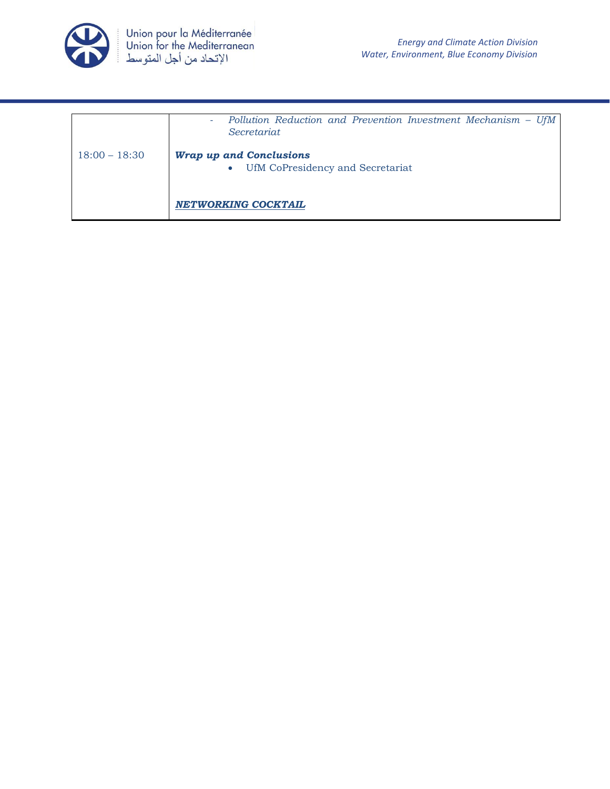

|                 | Pollution Reduction and Prevention Investment Mechanism - UfM<br>٠<br>Secretariat |
|-----------------|-----------------------------------------------------------------------------------|
| $18:00 - 18:30$ | <b>Wrap up and Conclusions</b><br>UfM CoPresidency and Secretariat<br>$\bullet$   |
|                 | NETWORKING COCKTAIL                                                               |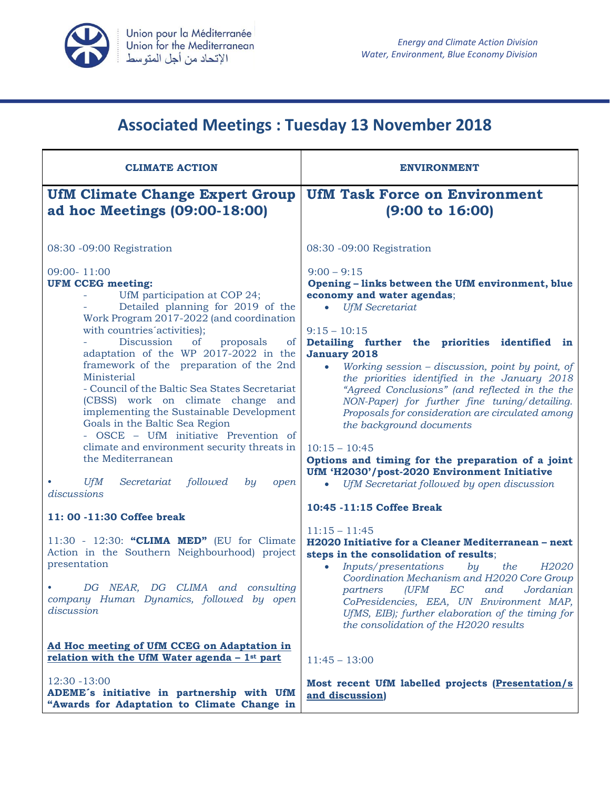

## **Associated Meetings : Tuesday 13 November 2018**

| <b>CLIMATE ACTION</b>                                                                                                                                                                                                                                                                                                                                                                                                                                                                                                                                                                                                                                                                                                                                                                                                                                                                                                               | <b>ENVIRONMENT</b>                                                                                                                                                                                                                                                                                                                                                                                                                                                                                                                                                                                                                                                                                                                                                                                                                                                                                                                                                                                                                                                                                                                                                             |
|-------------------------------------------------------------------------------------------------------------------------------------------------------------------------------------------------------------------------------------------------------------------------------------------------------------------------------------------------------------------------------------------------------------------------------------------------------------------------------------------------------------------------------------------------------------------------------------------------------------------------------------------------------------------------------------------------------------------------------------------------------------------------------------------------------------------------------------------------------------------------------------------------------------------------------------|--------------------------------------------------------------------------------------------------------------------------------------------------------------------------------------------------------------------------------------------------------------------------------------------------------------------------------------------------------------------------------------------------------------------------------------------------------------------------------------------------------------------------------------------------------------------------------------------------------------------------------------------------------------------------------------------------------------------------------------------------------------------------------------------------------------------------------------------------------------------------------------------------------------------------------------------------------------------------------------------------------------------------------------------------------------------------------------------------------------------------------------------------------------------------------|
| <b>UfM Climate Change Expert Group</b><br>ad hoc Meetings (09:00-18:00)                                                                                                                                                                                                                                                                                                                                                                                                                                                                                                                                                                                                                                                                                                                                                                                                                                                             | <b>UfM Task Force on Environment</b><br>$(9:00 \text{ to } 16:00)$                                                                                                                                                                                                                                                                                                                                                                                                                                                                                                                                                                                                                                                                                                                                                                                                                                                                                                                                                                                                                                                                                                             |
| 08:30 -09:00 Registration                                                                                                                                                                                                                                                                                                                                                                                                                                                                                                                                                                                                                                                                                                                                                                                                                                                                                                           | 08:30 -09:00 Registration                                                                                                                                                                                                                                                                                                                                                                                                                                                                                                                                                                                                                                                                                                                                                                                                                                                                                                                                                                                                                                                                                                                                                      |
| 09:00-11:00<br><b>UFM CCEG meeting:</b><br>UfM participation at COP 24;<br>Detailed planning for 2019 of the<br>Work Program 2017-2022 (and coordination<br>with countries activities);<br>Discussion<br>proposals<br>of<br>of<br>adaptation of the WP 2017-2022 in the<br>framework of the preparation of the 2nd<br>Ministerial<br>- Council of the Baltic Sea States Secretariat<br>(CBSS) work on climate change and<br>implementing the Sustainable Development<br>Goals in the Baltic Sea Region<br>- OSCE - UfM initiative Prevention of<br>climate and environment security threats in<br>the Mediterranean<br><b>UfM</b><br>Secretariat<br>followed<br>by<br>open<br>discussions<br>11:00 -11:30 Coffee break<br>11:30 - 12:30: "CLIMA MED" (EU for Climate<br>Action in the Southern Neighbourhood) project<br>presentation<br>DG NEAR, DG CLIMA and consulting<br>company Human Dynamics, followed by open<br>discussion | $9:00 - 9:15$<br>Opening - links between the UfM environment, blue<br>economy and water agendas;<br><b>UfM</b> Secretariat<br>$\bullet$<br>$9:15 - 10:15$<br>Detailing further the priorities identified<br>in<br><b>January 2018</b><br>Working session $-$ discussion, point by point, of<br>$\bullet$<br>the priorities identified in the January 2018<br>"Agreed Conclusions" (and reflected in the the<br>NON-Paper) for further fine tuning/detailing.<br>Proposals for consideration are circulated among<br>the background documents<br>$10:15 - 10:45$<br>Options and timing for the preparation of a joint<br>UfM 'H2030'/post-2020 Environment Initiative<br>UfM Secretariat followed by open discussion<br>10:45 -11:15 Coffee Break<br>$11:15 - 11:45$<br>H2020 Initiative for a Cleaner Mediterranean - next<br>steps in the consolidation of results;<br>Inputs/presentations<br><i>H2020</i><br>by<br>the<br>$\bullet$<br>Coordination Mechanism and H2020 Core Group<br>(UFM<br>EC<br>and<br>Jordanian<br>partners<br>CoPresidencies, EEA, UN Environment MAP,<br>UfMS, EIB); further elaboration of the timing for<br>the consolidation of the H2020 results |
| Ad Hoc meeting of UfM CCEG on Adaptation in<br>relation with the UfM Water agenda $-1^{st}$ part                                                                                                                                                                                                                                                                                                                                                                                                                                                                                                                                                                                                                                                                                                                                                                                                                                    | $11:45 - 13:00$                                                                                                                                                                                                                                                                                                                                                                                                                                                                                                                                                                                                                                                                                                                                                                                                                                                                                                                                                                                                                                                                                                                                                                |
| 12:30 - 13:00<br>ADEME's initiative in partnership with UfM<br>"Awards for Adaptation to Climate Change in                                                                                                                                                                                                                                                                                                                                                                                                                                                                                                                                                                                                                                                                                                                                                                                                                          | Most recent UfM labelled projects (Presentation/s)<br>and discussion)                                                                                                                                                                                                                                                                                                                                                                                                                                                                                                                                                                                                                                                                                                                                                                                                                                                                                                                                                                                                                                                                                                          |